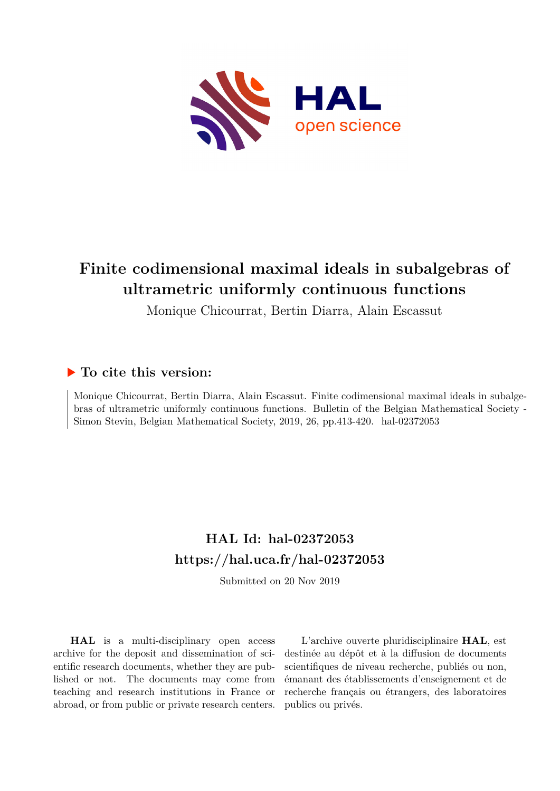

# **Finite codimensional maximal ideals in subalgebras of ultrametric uniformly continuous functions**

Monique Chicourrat, Bertin Diarra, Alain Escassut

## **To cite this version:**

Monique Chicourrat, Bertin Diarra, Alain Escassut. Finite codimensional maximal ideals in subalgebras of ultrametric uniformly continuous functions. Bulletin of the Belgian Mathematical Society - Simon Stevin, Belgian Mathematical Society, 2019, 26, pp.413-420. hal-02372053

# **HAL Id: hal-02372053 <https://hal.uca.fr/hal-02372053>**

Submitted on 20 Nov 2019

**HAL** is a multi-disciplinary open access archive for the deposit and dissemination of scientific research documents, whether they are published or not. The documents may come from teaching and research institutions in France or abroad, or from public or private research centers.

L'archive ouverte pluridisciplinaire **HAL**, est destinée au dépôt et à la diffusion de documents scientifiques de niveau recherche, publiés ou non, émanant des établissements d'enseignement et de recherche français ou étrangers, des laboratoires publics ou privés.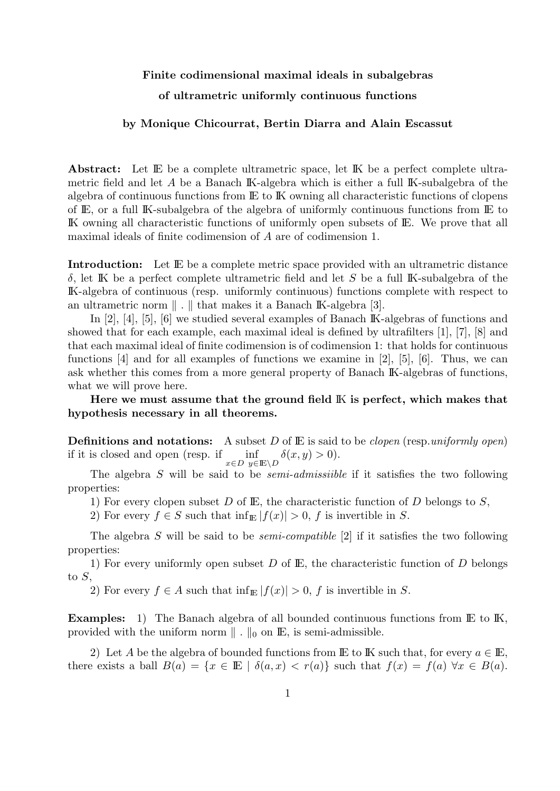## Finite codimensional maximal ideals in subalgebras

### of ultrametric uniformly continuous functions

#### by Monique Chicourrat, Bertin Diarra and Alain Escassut

Abstract: Let IE be a complete ultrametric space, let IK be a perfect complete ultrametric field and let A be a Banach IK-algebra which is either a full IK-subalgebra of the algebra of continuous functions from IE to IK owning all characteristic functions of clopens of IE, or a full IK-subalgebra of the algebra of uniformly continuous functions from IE to IK owning all characteristic functions of uniformly open subsets of IE. We prove that all maximal ideals of finite codimension of A are of codimension 1.

Introduction: Let IE be a complete metric space provided with an ultrametric distance δ, let IK be a perfect complete ultrametric field and let S be a full IK-subalgebra of the IK-algebra of continuous (resp. uniformly continuous) functions complete with respect to an ultrametric norm  $\| \cdot \|$  that makes it a Banach IK-algebra [3].

In [2], [4], [5], [6] we studied several examples of Banach IK-algebras of functions and showed that for each example, each maximal ideal is defined by ultrafilters [1], [7], [8] and that each maximal ideal of finite codimension is of codimension 1: that holds for continuous functions [4] and for all examples of functions we examine in [2], [5], [6]. Thus, we can ask whether this comes from a more general property of Banach IK-algebras of functions, what we will prove here.

Here we must assume that the ground field IK is perfect, which makes that hypothesis necessary in all theorems.

**Definitions and notations:** A subset D of  $E$  is said to be *clopen* (resp. uniformly open) if it is closed and open (resp. if  $\inf_{x \in D} \inf_{y \in \mathbb{E} \setminus D} \delta(x, y) > 0.$ 

The algebra  $S$  will be said to be *semi-admissiible* if it satisfies the two following properties:

1) For every clopen subset D of E, the characteristic function of D belongs to  $S$ ,

2) For every  $f \in S$  such that  $\inf_{\mathbb{E}} |f(x)| > 0$ , f is invertible in S.

The algebra S will be said to be *semi-compatible* [2] if it satisfies the two following properties:

1) For every uniformly open subset D of  $E$ , the characteristic function of D belongs to S,

2) For every  $f \in A$  such that  $\inf_{\mathbb{E}} |f(x)| > 0$ , f is invertible in S.

Examples: 1) The Banach algebra of all bounded continuous functions from E to IK, provided with the uniform norm  $\parallel$  .  $\parallel_0$  on  $\mathbb{E},$  is semi-admissible.

2) Let A be the algebra of bounded functions from IE to IK such that, for every  $a \in \mathbb{E}$ , there exists a ball  $B(a) = \{x \in \mathbb{E} \mid \delta(a,x) < r(a)\}$  such that  $f(x) = f(a) \,\forall x \in B(a)$ .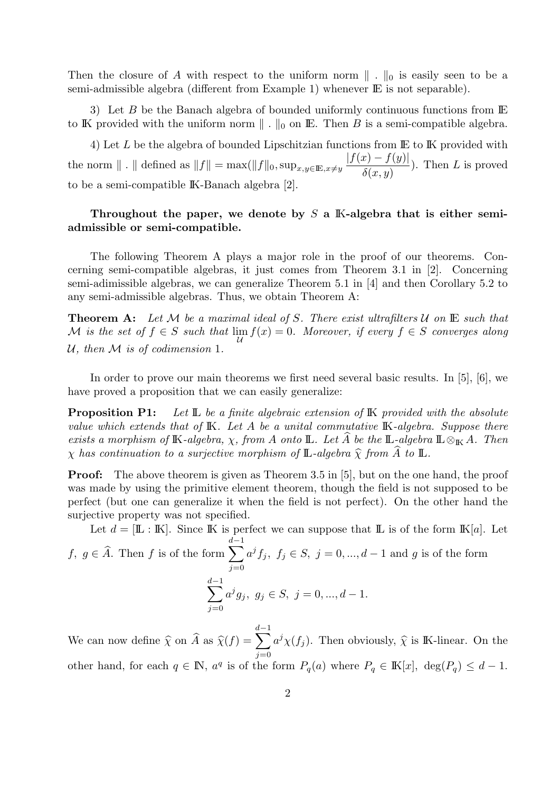Then the closure of A with respect to the uniform norm  $\|\cdot\|_0$  is easily seen to be a semi-admissible algebra (different from Example 1) whenever  $\mathbb E$  is not separable).

3) Let B be the Banach algebra of bounded uniformly continuous functions from IE to IK provided with the uniform norm  $\| \cdot \|_0$  on IE. Then B is a semi-compatible algebra.

4) Let  $L$  be the algebra of bounded Lipschitzian functions from  $\mathbb E$  to  $\mathbb K$  provided with the norm  $\Vert . \Vert$  defined as  $||f|| = \max(||f||_0, \sup_{x,y\in\mathbb{E},x\neq y}$  $|f(x) - f(y)|$  $\delta(x,y)$ ). Then  $L$  is proved to be a semi-compatible IK-Banach algebra [2].

### Throughout the paper, we denote by  $S$  a K-algebra that is either semiadmissible or semi-compatible.

The following Theorem A plays a major role in the proof of our theorems. Concerning semi-compatible algebras, it just comes from Theorem 3.1 in [2]. Concerning semi-adimissible algebras, we can generalize Theorem 5.1 in [4] and then Corollary 5.2 to any semi-admissible algebras. Thus, we obtain Theorem A:

**Theorem A:** Let M be a maximal ideal of S. There exist ultrafilters  $\mathcal{U}$  on  $\mathbb{E}$  such that  $\mathcal M$  is the set of  $f \in S$  such that  $\lim_{\mathcal U} f(x) = 0$ . Moreover, if every  $f \in S$  converges along U, then  $M$  is of codimension 1.

In order to prove our main theorems we first need several basic results. In [5], [6], we have proved a proposition that we can easily generalize:

**Proposition P1:** Let  $\mathbb{L}$  be a finite algebraic extension of  $\mathbb{K}$  provided with the absolute value which extends that of K. Let A be a unital commutative K-algebra. Suppose there exists a morphism of K-algebra,  $\chi$ , from A onto L. Let A be the L-algebra  $\mathbb{L} \otimes_{\mathbb{K}} A$ . Then  $\chi$  has continuation to a surjective morphism of **L**-algebra  $\widehat{\chi}$  from A to **L**.

**Proof:** The above theorem is given as Theorem 3.5 in [5], but on the one hand, the proof was made by using the primitive element theorem, though the field is not supposed to be perfect (but one can generalize it when the field is not perfect). On the other hand the surjective property was not specified.

Let  $d = [\mathbb{L} : \mathbb{K}]$ . Since K is perfect we can suppose that  $\mathbb{L}$  is of the form  $\mathbb{K}[a]$ . Let f,  $g \in \hat{A}$ . Then f is of the form  $\sum$  $d-1$  $j=0$  $a^j f_j, f_j \in S, j = 0, ..., d-1$  and g is of the form  $\sum$  $d-1$  $j=0$  $a^j g_j, g_j \in S, j = 0, ..., d - 1.$ 

We can now define  $\hat{\chi}$  on  $\hat{A}$  as  $\hat{\chi}(f) = \sum_{i=0}^{n}$  $d-1$  $j=0$  $a^j \chi(f_j)$ . Then obviously,  $\hat{\chi}$  is IK-linear. On the other hand, for each  $q \in \mathbb{N}$ ,  $a^q$  is of the form  $P_q(a)$  where  $P_q \in \mathbb{K}[x]$ ,  $\deg(P_q) \leq d-1$ .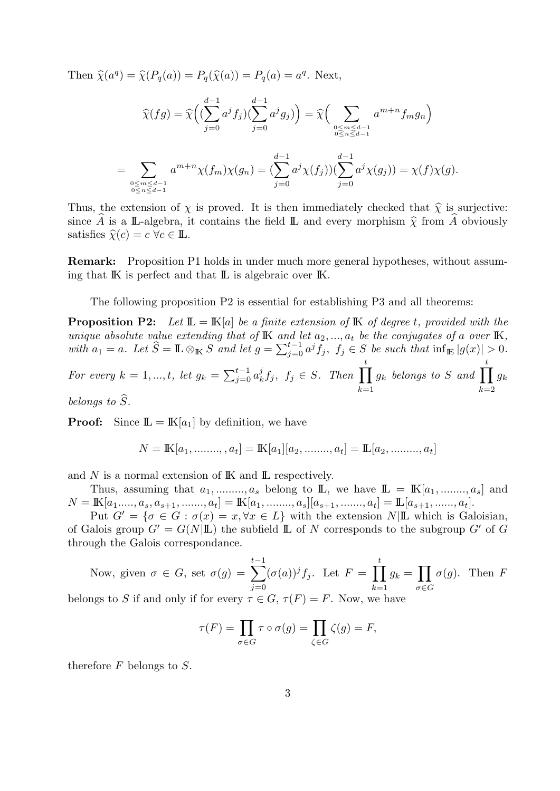Then  $\hat{\chi}(a^q) = \hat{\chi}(P_q(a)) = P_q(\hat{\chi}(a)) = P_q(a) = a^q$ . Next,

$$
\widehat{\chi}(fg) = \widehat{\chi}\Big( \big(\sum_{j=0}^{d-1} a^j f_j \big) \big(\sum_{j=0}^{d-1} a^j g_j \big) \Big) = \widehat{\chi}\Big( \sum_{\substack{0 \le m \le d-1 \\ 0 \le n \le d-1}} a^{m+n} f_m g_n \Big)
$$
  
= 
$$
\sum_{\substack{0 \le m \le d-1 \\ 0 \le n \le d-1}} a^{m+n} \chi(f_m) \chi(g_n) = \big(\sum_{j=0}^{d-1} a^j \chi(f_j) \big) \big(\sum_{j=0}^{d-1} a^j \chi(g_j) \big) = \chi(f) \chi(g).
$$

Thus, the extension of  $\chi$  is proved. It is then immediately checked that  $\hat{\chi}$  is surjective: since A is a L-algebra, it contains the field L and every morphism  $\hat{\chi}$  from A obviously satisfies  $\widehat{\chi}(c) = c \ \forall c \in \mathbb{L}$ .

Remark: Proposition P1 holds in under much more general hypotheses, without assuming that IK is perfect and that IL is algebraic over IK.

The following proposition P2 is essential for establishing P3 and all theorems:

**Proposition P2:** Let  $\mathbb{L} = \mathbb{K}[a]$  be a finite extension of  $\mathbb{K}$  of degree t, provided with the unique absolute value extending that of  $\mathbb K$  and let  $a_2, ..., a_t$  be the conjugates of a over  $\mathbb K$ , with  $a_1 = a$ . Let  $\widehat{S} = \mathbb{L} \otimes_{\mathbb{K}} S$  and let  $g = \sum_{j=0}^{t-1} a^j f_j$ ,  $f_j \in S$  be such that  $\inf_{\mathbb{E}} |g(x)| > 0$ .

For every 
$$
k = 1, ..., t
$$
, let  $g_k = \sum_{j=0}^{t-1} a_k^j f_j$ ,  $f_j \in S$ . Then  $\prod_{k=1}^t g_k$  belongs to S and  $\prod_{k=2}^t g_k$ 

belongs to  $S$ .

**Proof:** Since  $\mathbb{L} = \mathbb{K}[a_1]$  by definition, we have

$$
N = \mathbb{K}[a_1, \dots, a_t] = \mathbb{K}[a_1][a_2, \dots, a_t] = \mathbb{L}[a_2, \dots, a_t]
$$

and  $N$  is a normal extension of  $\mathbb K$  and  $\mathbb L$  respectively.

Thus, assuming that  $a_1, \ldots, a_s$  belong to  $\mathbb{L}$ , we have  $\mathbb{L} = \mathbb{K}[a_1, \ldots, a_s]$  and  $N = \mathbb{K}[a_1, \ldots, a_s, a_{s+1}, \ldots, a_t] = \mathbb{K}[a_1, \ldots, a_s][a_{s+1}, \ldots, a_t] = \mathbb{L}[a_{s+1}, \ldots, a_t].$ 

Put  $G' = \{\sigma \in G : \sigma(x) = x, \forall x \in L\}$  with the extension  $N|\mathbb{L}$  which is Galoisian, of Galois group  $G' = G(N|\mathbb{L})$  the subfield  $\mathbb{L}$  of N corresponds to the subgroup  $G'$  of G through the Galois correspondance.

Now, given 
$$
\sigma \in G
$$
, set  $\sigma(g) = \sum_{j=0}^{t-1} (\sigma(a))^j f_j$ . Let  $F = \prod_{k=1}^t g_k = \prod_{\sigma \in G} \sigma(g)$ . Then  $F$ 

belongs to S if and only if for every  $\tau \in G$ ,  $\tau(F) = F$ . Now, we have

$$
\tau(F) = \prod_{\sigma \in G} \tau \circ \sigma(g) = \prod_{\zeta \in G} \zeta(g) = F,
$$

therefore  $F$  belongs to  $S$ .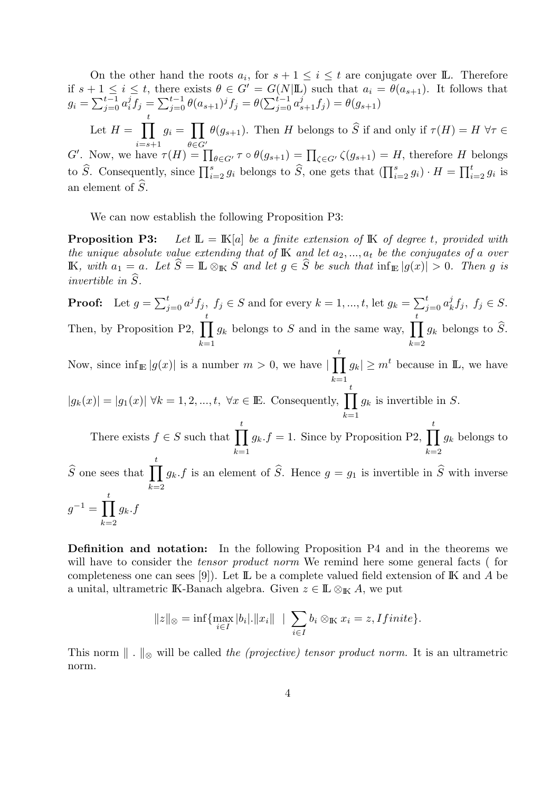On the other hand the roots  $a_i$ , for  $s + 1 \leq i \leq t$  are conjugate over **L**. Therefore if  $s + 1 \leq i \leq t$ , there exists  $\theta \in G' = G(N|\mathbb{L})$  such that  $a_i = \theta(a_{s+1})$ . It follows that  $g_i = \sum_{j=0}^{t-1} a_i^j$  $j_i^j f_j = \sum_{j=0}^{t-1} \theta(a_{s+1})^j f_j = \theta(\sum_{j=0}^{t-1} a_{s+1}^j f_j) = \theta(g_{s+1})$ Let  $H = \prod$ t  $i = s + 1$  $g_i = \prod$  $\theta \in G'$  $\theta(g_{s+1})$ . Then H belongs to S if and only if  $\tau(H) = H \,\forall \tau \in$ G'. Now, we have  $\tau(H) = \prod_{\theta \in G'} \tau \circ \theta(g_{s+1}) = \prod_{\zeta \in G'} \zeta(g_{s+1}) = H$ , therefore H belongs to  $\widehat{S}$ . Consequently, since  $\prod_{i=2}^{s} g_i$  belongs to  $\widehat{S}$ , one gets that  $(\prod_{i=2}^{s} g_i) \cdot H = \prod_{i=2}^{t} g_i$  is an element of  $S$ .

We can now establish the following Proposition P3:

**Proposition P3:** Let  $\mathbb{L} = \mathbb{K}[a]$  be a finite extension of  $\mathbb{K}$  of degree t, provided with the unique absolute value extending that of  $\mathbb K$  and let  $a_2, ..., a_t$  be the conjugates of a over IK, with  $a_1 = a$ . Let  $\widehat{S} = \mathbb{L} \otimes_{\mathbb{K}} S$  and let  $g \in \widehat{S}$  be such that  $\inf_{\mathbb{E}} |g(x)| > 0$ . Then g is invertible in  $\widehat{S}$ .

**Proof:** Let  $g = \sum_{j=0}^{t} a^j f_j$ ,  $f_j \in S$  and for every  $k = 1, ..., t$ , let  $g_k = \sum_{j=0}^{t} a_k^j$  $f_k^j, f_j \in S.$ Then, by Proposition P2,  $\prod$ t  $k=1$  $g_k$  belongs to S and in the same way,  $\prod$ t  $k=2$  $g_k$  belongs to S. Now, since  $\inf_{\mathbb{E}} |g(x)|$  is a number  $m > 0$ , we have  $|\prod_{n=1}^{\infty}$ t  $k=1$  $|g_k| \geq m^t$  because in **L**, we have  $|g_k(x)| = |g_1(x)| \forall k = 1, 2, ..., t, \forall x \in \mathbb{E}$ . Consequently,  $\prod$ t  $k=1$  $g_k$  is invertible in S. There exists  $f \in S$  such that  $\prod$ t  $k=1$  $g_k.f = 1$ . Since by Proposition P2,  $\prod$ t  $k=2$  $g_k$  belongs to  $\widehat{S}$  one sees that  $\prod$ t  $k=2$  $g_k$ , f is an element of S. Hence  $g = g_1$  is invertible in S with inverse  $g^{-1} = \prod$ t  $k=2$  $g_k.f$ 

Definition and notation: In the following Proposition P4 and in the theorems we will have to consider the *tensor product norm* We remind here some general facts (for completeness one can sees [9]). Let  $\mathbb{L}$  be a complete valued field extension of  $\mathbb{K}$  and A be a unital, ultrametric IK-Banach algebra. Given  $z \in \mathbb{L} \otimes_{\mathbb{K}} A$ , we put

$$
||z||_{\otimes} = \inf \{ \max_{i \in I} |b_i|. ||x_i|| \mid \sum_{i \in I} b_i \otimes \mathbb{K} \ x_i = z, \text{I finite} \}.
$$

This norm  $\| \cdot \|_{\infty}$  will be called the (projective) tensor product norm. It is an ultrametric norm.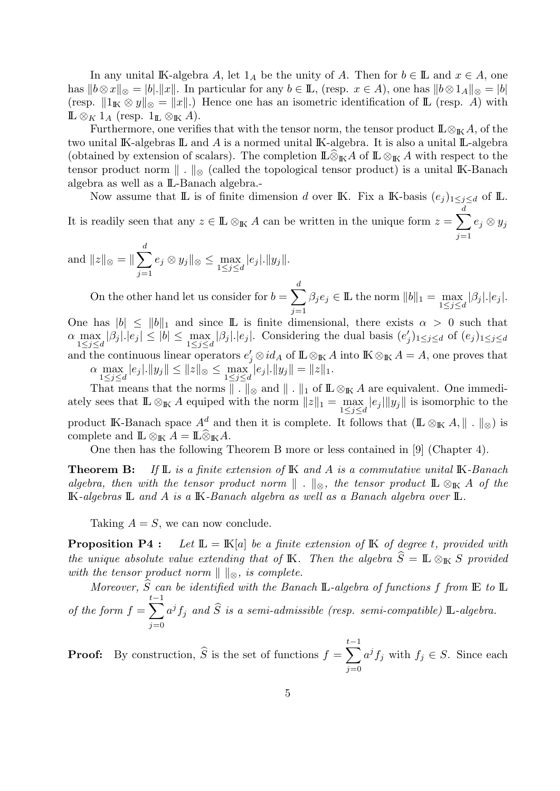In any unital IK-algebra A, let  $1_A$  be the unity of A. Then for  $b \in \mathbb{L}$  and  $x \in A$ , one has  $||b \otimes x||_{\otimes} = |b| ||x||$ . In particular for any  $b \in \mathbb{L}$ , (resp.  $x \in A$ ), one has  $||b \otimes 1_A||_{\otimes} = |b|$ (resp.  $||1_K \otimes y||_{\otimes} = ||x||$ .) Hence one has an isometric identification of L (resp. A) with  $\mathbb{L} \otimes_K 1_A$  (resp.  $1_{\mathbb{L}} \otimes_{\mathbb{K}} A$ ).

Furthermore, one verifies that with the tensor norm, the tensor product  $\mathbb{L}\otimes_{\mathbb{K}} A$ , of the two unital IK-algebras IL and A is a normed unital IK-algebra. It is also a unital IL-algebra (obtained by extension of scalars). The completion  $\mathbb{L}\widehat{\otimes}_{\mathbb{K}} A$  of  $\mathbb{L}\otimes_{\mathbb{K}} A$  with respect to the tensor product norm  $\| \cdot \|_{\infty}$  (called the topological tensor product) is a unital IK-Banach algebra as well as a IL-Banach algebra.-

Now assume that  $\mathbb L$  is of finite dimension d over K. Fix a K-basis  $(e_j)_{1 \leq j \leq d}$  of  $\mathbb L$ . It is readily seen that any  $z \in \mathbb{L} \otimes_{\mathbb{K}} A$  can be written in the unique form  $z = \sum$ d  $j=1$  $e_j \otimes y_j$ 

and  $||z||_{\otimes} = ||\sum$ d  $j=1$  $e_j \otimes y_j \Vert_{\otimes} \leq \max_{1 \leq j \leq d} |e_j| \cdot ||y_j||.$ 

On the other hand let us consider for  $b = \sum$ d  $j=1$  $\beta_j e_j \in \mathbb{L}$  the norm  $||b||_1 = \max_{1 \leq j \leq d} |\beta_j|.|e_j|.$ One has  $|b| \leq ||b||_1$  and since L is finite dimensional, there exists  $\alpha > 0$  such that  $\alpha \max_{1 \leq j \leq d} |\beta_j| |e_j| \leq |b| \leq \max_{1 \leq j \leq d} |\beta_j| |e_j|$ . Considering the dual basis  $(e'_j)_{1 \leq j \leq d}$  of  $(e_j)_{1 \leq j \leq d}$ 

and the continuous linear operators  $e'_j \otimes id_A$  of  $\mathbb{L} \otimes_{\mathbb{K}} A$  into  $\mathbb{K} \otimes_{\mathbb{K}} A = A$ , one proves that  $\alpha \max_{1 \leq j \leq d} |e_j|$ .  $||y_j|| \leq ||z||_{\otimes} \leq \max_{1 \leq j \leq d} |e_j|$ .  $||y_j|| = ||z||_1$ .

That means that the norms  $\|\,\,\ldotp\,\|_\otimes$  and  $\|\,\,\ldotp\,\|_1$  of  $\mathrm{I\!L} \otimes_{\mathrm{I\!K}} A$  are equivalent. One immediately sees that  $\mathbb{L} \otimes_{\mathbb{K}} A$  equiped with the norm  $||z||_1 = \max_{1 \leq j \leq d} |e_j| ||y_j||$  is isomorphic to the product IK-Banach space  $A^d$  and then it is complete. It follows that  $(\mathbb{L} \otimes_{\mathbb{K}} A, \|\cdot\|_{\otimes})$  is complete and  $\mathbb{L} \otimes_{\mathbb{K}} A = \mathbb{L} \widehat{\otimes}_{\mathbb{K}} A$ .

One then has the following Theorem B more or less contained in [9] (Chapter 4).

**Theorem B:** If  $\mathbb{L}$  is a finite extension of  $\mathbb{K}$  and A is a commutative unital  $\mathbb{K}$ -Banach algebra, then with the tensor product norm  $\| \cdot \|_{\infty}$ , the tensor product  $\mathbb{L} \otimes_{\mathbb{K}} A$  of the IK-algebras IL and A is a IK-Banach algebra as well as a Banach algebra over IL.

Taking  $A = S$ , we can now conclude.

**Proposition P4 :** Let  $\mathbb{L} = \mathbb{K}[a]$  be a finite extension of  $\mathbb{K}$  of degree t, provided with the unique absolute value extending that of K. Then the algebra  $\widehat{S} = \mathbb{L} \otimes_{\mathbb{K}} S$  provided with the tensor product norm  $\Vert \ \Vert_{\otimes}$ , is complete.

Moreover,  $\widehat{S}$  can be identified with the Banach  $\mathbb{L}$ -algebra of functions f from  $\mathbb{E}$  to  $\mathbb{L}$ of the form  $f = \sum$  $t-1$  $j=0$  $a^jf_j$  and  $\widehat{S}$  is a semi-admissible (resp. semi-compatible)  $\mathbb{L}\text{-}algebra$ .

**Proof:** By construction,  $\widehat{S}$  is the set of functions  $f = \sum$  $t-1$  $j=0$  $a^j f_j$  with  $f_j \in S$ . Since each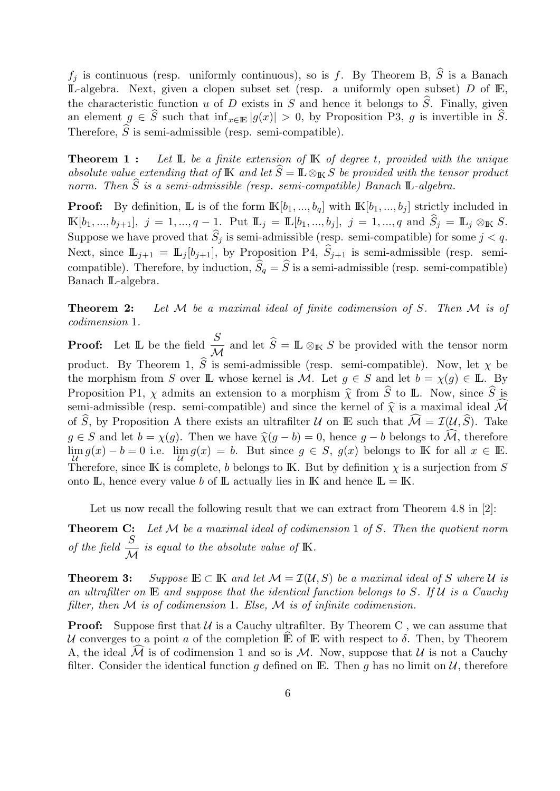$f_j$  is continuous (resp. uniformly continuous), so is f. By Theorem B,  $\widehat{S}$  is a Banach  $\mathbb{L}$ -algebra. Next, given a clopen subset set (resp. a uniformly open subset) D of  $\mathbb{E}$ , the characteristic function u of D exists in S and hence it belongs to  $\hat{S}$ . Finally, given an element  $g \in \widehat{S}$  such that  $\inf_{x \in \mathbb{E}} |g(x)| > 0$ , by Proposition P3, g is invertible in  $\widehat{S}$ . Therefore,  $\widehat{S}$  is semi-admissible (resp. semi-compatible).

**Theorem 1:** Let  $\mathbb{L}$  be a finite extension of  $\mathbb{K}$  of degree t, provided with the unique absolute value extending that of K and let  $\hat{S} = \mathbb{L} \otimes_{\mathbb{K}} S$  be provided with the tensor product norm. Then  $\widehat{S}$  is a semi-admissible (resp. semi-compatible) Banach L-algebra.

**Proof:** By definition, **L** is of the form  $\mathbb{K}[b_1, ..., b_q]$  with  $\mathbb{K}[b_1, ..., b_j]$  strictly included in  $\mathbb{K}[b_1, ..., b_{j+1}], j = 1, ..., q - 1$ . Put  $\mathbb{L}_j = \mathbb{L}[b_1, ..., b_j], j = 1, ..., q$  and  $\widehat{S}_j = \mathbb{L}_j \otimes_{\mathbb{K}} S$ . Suppose we have proved that  $\widehat{S}_j$  is semi-admissible (resp. semi-compatible) for some  $j < q$ . Next, since  $\mathbb{L}_{j+1} = \mathbb{L}_j[b_{j+1}]$ , by Proposition P4,  $\hat{S}_{j+1}$  is semi-admissible (resp. semicompatible). Therefore, by induction,  $\widehat{S}_q = \widehat{S}$  is a semi-admissible (resp. semi-compatible) Banach IL-algebra.

**Theorem 2:** Let M be a maximal ideal of finite codimension of S. Then M is of codimension 1.

**Proof:** Let  $\mathbb{L}$  be the field  $\frac{S}{\sqrt{S}}$  $\frac{\infty}{\mathcal{M}}$  and let  $S = \mathbb{L} \otimes_{\mathbb{K}} S$  be provided with the tensor norm product. By Theorem 1,  $\hat{S}$  is semi-admissible (resp. semi-compatible). Now, let  $\chi$  be the morphism from S over IL whose kernel is M. Let  $g \in S$  and let  $b = \chi(g) \in I\!I$ . By Proposition P1,  $\chi$  admits an extension to a morphism  $\hat{\chi}$  from  $\hat{S}$  to IL. Now, since  $\hat{S}$  is semi-admissible (resp. semi-compatible) and since the kernel of  $\hat{\chi}$  is a maximal ideal  $\widehat{\mathcal{M}}$ of  $\widehat{S}$ , by Proposition A there exists an ultrafilter U on E such that  $\widehat{\mathcal{M}} = \mathcal{I}(\mathcal{U}, \widehat{S})$ . Take  $g \in S$  and let  $b = \chi(g)$ . Then we have  $\widehat{\chi}(g - b) = 0$ , hence  $g - b$  belongs to  $\widehat{\mathcal{M}}$ , therefore  $\lim_{\mathcal{U}} g(x) - b = 0$  i.e.  $\lim_{\mathcal{U}} g(x) = b$ . But since  $g \in S$ ,  $g(x)$  belongs to IK for all  $x \in \mathbb{E}$ . Therefore, since IK is complete, b belongs to IK. But by definition  $\chi$  is a surjection from S onto  $\mathbb{L}$ , hence every value b of  $\mathbb{L}$  actually lies in  $\mathbb{K}$  and hence  $\mathbb{L} = \mathbb{K}$ .

Let us now recall the following result that we can extract from Theorem 4.8 in [2]:

**Theorem C:** Let  $M$  be a maximal ideal of codimension 1 of S. Then the quotient norm of the field  $\frac{S}{\sqrt{S}}$  $\mathcal M$ is equal to the absolute value of IK.

**Theorem 3:** Suppose  $\mathbb{E} \subset \mathbb{K}$  and let  $\mathcal{M} = \mathcal{I}(\mathcal{U}, S)$  be a maximal ideal of S where U is an ultrafilter on  $E$  and suppose that the identical function belongs to S. If  $U$  is a Cauchy filter, then  $M$  is of codimension 1. Else,  $M$  is of infinite codimension.

**Proof:** Suppose first that  $U$  is a Cauchy ultrafilter. By Theorem C, we can assume that U converges to a point a of the completion  $\mathbb E$  of  $\mathbb E$  with respect to  $\delta$ . Then, by Theorem A, the ideal  $\mathcal M$  is of codimension 1 and so is  $\mathcal M$ . Now, suppose that  $\mathcal U$  is not a Cauchy filter. Consider the identical function q defined on E. Then q has no limit on  $\mathcal{U}$ , therefore